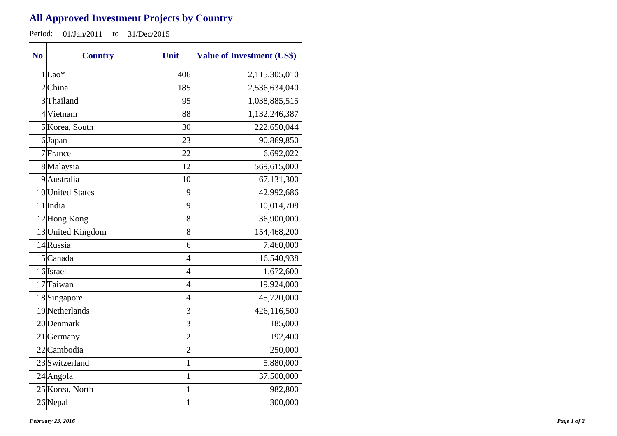## **All Approved Investment Projects by Country**

Period: 01/Jan/2011 to 31/Dec/2015

| N <sub>o</sub> | <b>Country</b>    | Unit           | <b>Value of Investment (US\$)</b> |
|----------------|-------------------|----------------|-----------------------------------|
|                | $1 $ Lao*         | 406            | 2,115,305,010                     |
|                | 2China            | 185            | 2,536,634,040                     |
|                | 3Thailand         | 95             | 1,038,885,515                     |
|                | 4 Vietnam         | 88             | 1,132,246,387                     |
|                | 5 Korea, South    | 30             | 222,650,044                       |
|                | 6Japan            | 23             | 90,869,850                        |
|                | 7 France          | 22             | 6,692,022                         |
|                | 8 Malaysia        | 12             | 569,615,000                       |
|                | 9Australia        | 10             | 67,131,300                        |
|                | 10 United States  | 9              | 42,992,686                        |
|                | 11 India          | 9              | 10,014,708                        |
|                | 12 Hong Kong      | 8              | 36,900,000                        |
|                | 13 United Kingdom | 8              | 154,468,200                       |
|                | 14 Russia         | 6              | 7,460,000                         |
|                | 15 Canada         | $\overline{4}$ | 16,540,938                        |
|                | 16 Israel         | 4              | 1,672,600                         |
|                | 17 Taiwan         | 4              | 19,924,000                        |
|                | 18Singapore       | $\overline{4}$ | 45,720,000                        |
|                | 19 Netherlands    | 3              | 426,116,500                       |
|                | 20 Denmark        | 3              | 185,000                           |
|                | $21$ Germany      | $\overline{2}$ | 192,400                           |
|                | 22 Cambodia       | $\overline{2}$ | 250,000                           |
|                | 23 Switzerland    | 1              | 5,880,000                         |
|                | $24$ Angola       | $\mathbf 1$    | 37,500,000                        |
|                | 25 Korea, North   | 1              | 982,800                           |
|                | 26Nepal           | $\mathbf 1$    | 300,000                           |